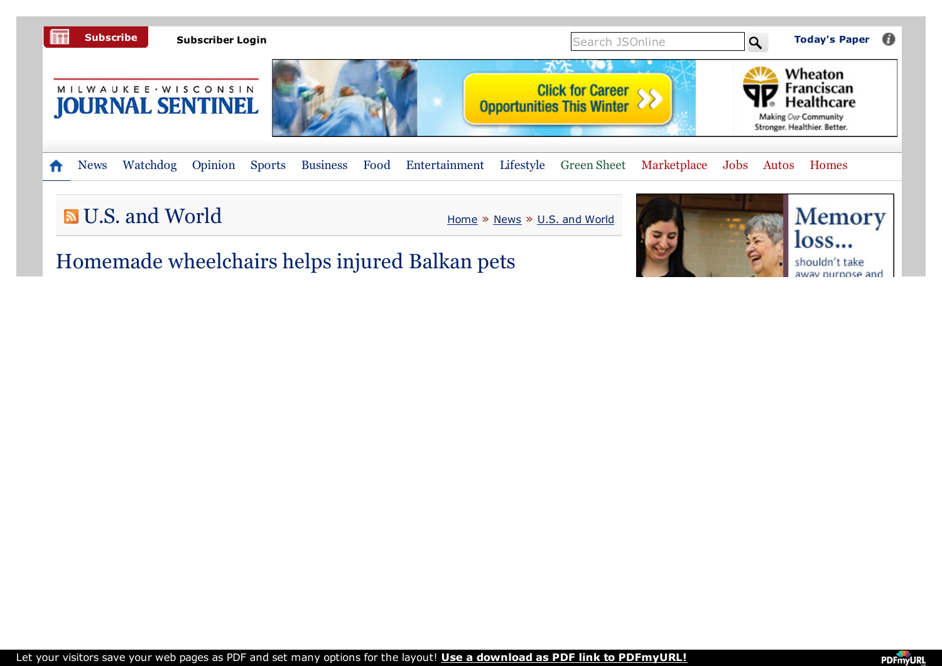

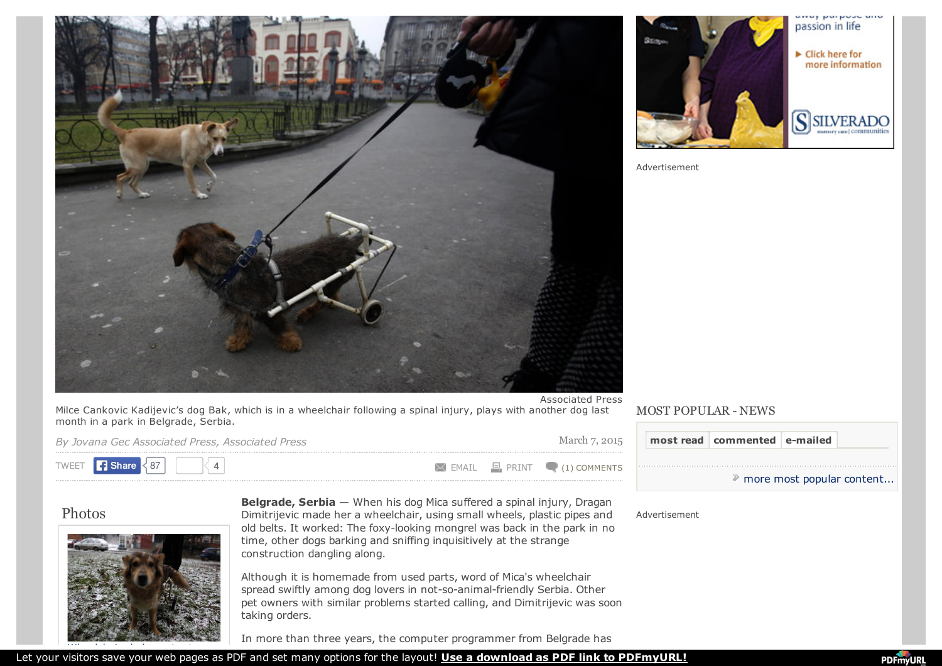



Advertisement

| month in a park in Belgrade, Serbia.             | <b>Associated Press</b><br>Milce Cankovic Kadijevic's dog Bak, which is in a wheelchair following a spinal injury, plays with another dog last                                                                                                                                                                                                                                                                                                                                                                                                                                                 | <b>MOST POPULAR - NEWS</b>   |
|--------------------------------------------------|------------------------------------------------------------------------------------------------------------------------------------------------------------------------------------------------------------------------------------------------------------------------------------------------------------------------------------------------------------------------------------------------------------------------------------------------------------------------------------------------------------------------------------------------------------------------------------------------|------------------------------|
| By Jovana Gec Associated Press, Associated Press | March 7, 2015                                                                                                                                                                                                                                                                                                                                                                                                                                                                                                                                                                                  | most read commented e-mailed |
| <b>B</b> Share<br><b>TWEET</b>                   | $\Box$ PRINT<br>$(1)$ COMMENTS<br>$\boxtimes$ EMAIL                                                                                                                                                                                                                                                                                                                                                                                                                                                                                                                                            | » more most popular content  |
| Photos                                           | <b>Belgrade, Serbia</b> - When his dog Mica suffered a spinal injury, Dragan<br>Dimitrijevic made her a wheelchair, using small wheels, plastic pipes and<br>old belts. It worked: The foxy-looking mongrel was back in the park in no<br>time, other dogs barking and sniffing inquisitively at the strange<br>construction dangling along.<br>Although it is homemade from used parts, word of Mica's wheelchair<br>spread swiftly among dog lovers in not-so-animal-friendly Serbia. Other<br>pet owners with similar problems started calling, and Dimitrijevic was soon<br>taking orders. | Advertisement                |

In more than three years, the computer programmer from Belgrade has

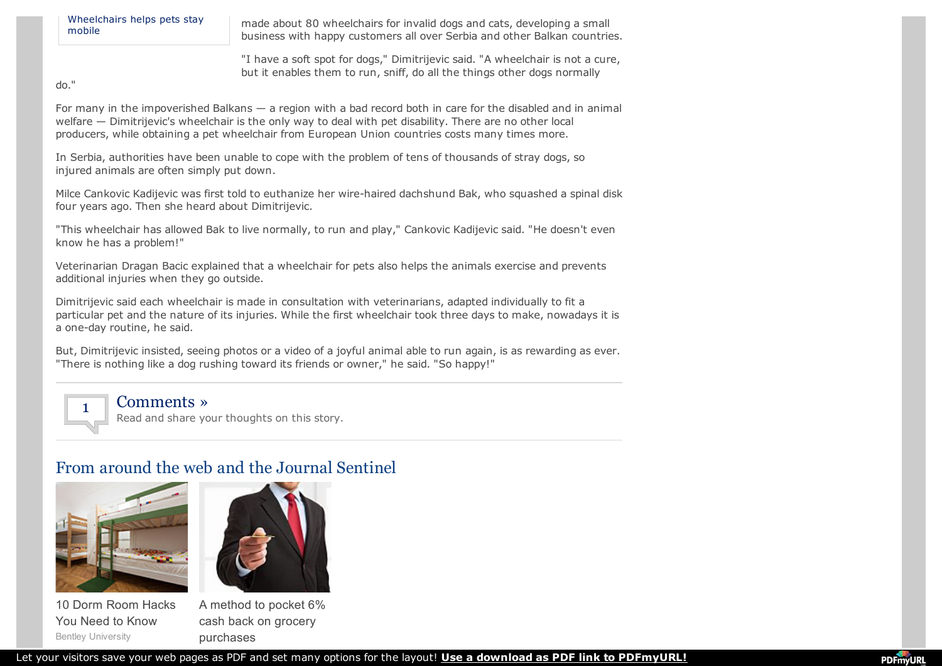[Wheelchairs](http://www.jsonline.com/multimedia/photos/wheelchairs-helps-pets-stay-mobile-b99457776z1-295512941.html) helps pets stay mobile

made about 80 wheelchairs for invalid dogs and cats, developing a small business with happy customers all over Serbia and other Balkan countries.

"I have a soft spot for dogs," Dimitrijevic said. "A wheelchair is not a cure, but it enables them to run, sniff, do all the things other dogs normally

#### do."

For many in the impoverished Balkans — a region with a bad record both in care for the disabled and in animal welfare — Dimitrijevic's wheelchair is the only way to deal with pet disability. There are no other local producers, while obtaining a pet wheelchair from European Union countries costs many times more.

In Serbia, authorities have been unable to cope with the problem of tens of thousands of stray dogs, so injured animals are often simply put down.

Milce Cankovic Kadijevic was first told to euthanize her wire-haired dachshund Bak, who squashed a spinal disk four years ago. Then she heard about Dimitrijevic.

"This wheelchair has allowed Bak to live normally, to run and play," Cankovic Kadijevic said. "He doesn't even know he has a problem!"

Veterinarian Dragan Bacic explained that a wheelchair for pets also helps the animals exercise and prevents additional injuries when they go outside.

Dimitrijevic said each wheelchair is made in consultation with veterinarians, adapted individually to fit a particular pet and the nature of its injuries. While the first wheelchair took three days to make, nowadays it is a one-day routine, he said.

But, Dimitrijevic insisted, seeing photos or a video of a joyful animal able to run again, is as rewarding as ever. "There is nothing like a dog rushing toward its friends or owner," he said. "So happy!"



### [Comments](http://www.jsonline.com/news/usandworld/homemade-wheelchairs-helps-injured-balkan-pets-b99457702z1-295516951.html?page=1) »

Read and share your thoughts on this story.

## From around the web and the Journal Sentinel



Bentley University 10 Dorm Room Hacks You Need to Know



A method to pocket 6% cash back on grocery purchases

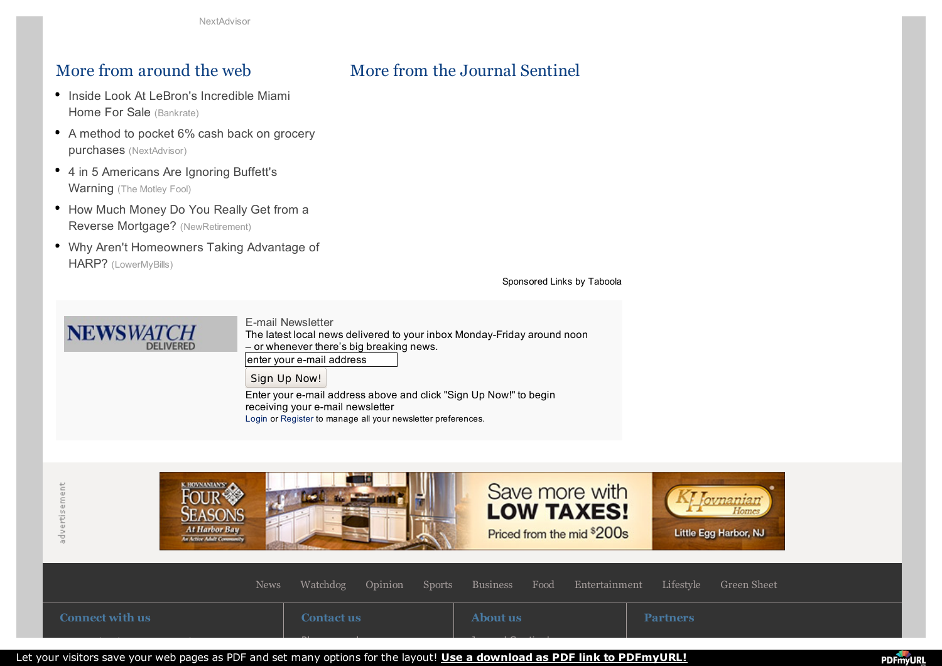# More from around the web More from the Journal Sentinel

- Inside Look At LeBron's [Incredible](http://www.bankrate.com/lite/real-estate/celebrity-house-for-sale-lebron-james-1.aspx?ic_id=tb_33001&pid=pm_tb21) Miami Home For Sale (Bankrate)
- A method to pocket 6% cash back on grocery [purchases](http://www.nextadvisor.com/blog/2015/02/18/blue-cash-preferred-american-express-provides-great-cash-back/?kw=tbla_dsk_6perc1-16&site=jsonline) (NextAdvisor)
- 4 in 5 [Americans](http://www.fool.com/mms/mark/buffett-4in5-carrier-t/) Are Ignoring Buffett's Warning (The Motley Fool)

**NEWSWATCH** 

- How Much Money Do You Really Get from a Reverse [Mortgage?](http://www.newretirement.com/blog/2014/10/24/new-reverse-mortgage-calculator-how-to-assess-your-suitability-for-these-loans/?nr_product=revmort&nr_a=taboola&nr_medium=contentmkt&nr_creative=monigetfmrm&nr_adtype=ImageOverHeadLine&nr_adgroup=blkwhtelegfem&nr_campaign=acssuit4retire-byplcmt&nr_keyword=desktop&nr_size=&utm_medium=contentmkt&utm_source=taboola&utm_content=monigetfmrm&nr_placement=jsonline) (NewRetirement)
- Why Aren't [Homeowners](https://www.lowermybills.com/lending/home-refinance/index.loan?pkey1=&pkey2=&pkey3=&sourceid=lmb-37630-68864&moid=65624&utm_source=taboola&utm_medium=referral) Taking Advantage of HARP? (LowerMyBills)

[Sponsored](http://www.taboola.com/en/popup?template=colorbox&taboola_utm_source=jsonline&taboola_utm_medium=bytaboola&taboola_utm_content=hybrid-text-links-2c:Below Article Text Links:) Links by [Taboola](http://www.taboola.com/en/popup?template=colorbox&taboola_utm_source=jsonline&taboola_utm_medium=bytaboola&taboola_utm_content=hybrid-text-links-2c:Below Article Text Links:)

E-mail Newsletter The latest local news delivered to your inbox Monday-Friday around noon – or whenever there's big breaking news. enter your e-mail address Sign Up Now!

Enter your e-mail address above and click "Sign Up Now!" to begin receiving your e-mail newsletter [Login](http://www.jsonline.com/s?action=login&rurl=http%3A%2F%2Fwww.jsonline.com%2Fnews%2Fusandworld%2Fhomemade-wheelchairs-helps-injured-balkan-pets-b99457702z1-295516951.html) or [Register](http://www.jsonline.com/s?action=reg&rurl=http%3A%2F%2Fwww.jsonline.com%2Fnews%2Fusandworld%2Fhomemade-wheelchairs-helps-injured-balkan-pets-b99457702z1-295516951.html) to manage all your newsletter preferences.



Let your visitors save your web pages as PDF and set many options for the layout! **Use a download as PDF link to [PDFmyURL!](http://pdfmyurl.com/save-as-pdf?src=pdf)**